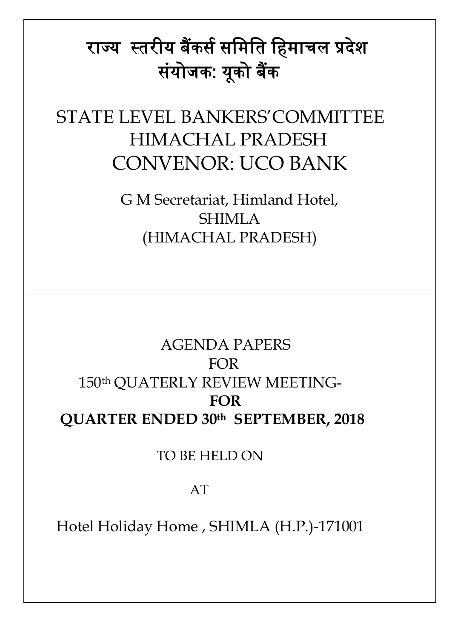# राज्य स्तरीय बैंकर्स र्मिमत मििाचल प्रदेश र्ंयोजक: यूको बैंक

# STATE LEVEL BANKERS'COMMITTEE HIMACHAL PRADESH CONVENOR: UCO BANK

G M Secretariat, Himland Hotel, SHIMLA (HIMACHAL PRADESH)

# AGENDA PAPERS FOR 150th QUATERLY REVIEW MEETING-  **FOR QUARTER ENDED 30th SEPTEMBER, 2018**

#### TO BE HELD ON

#### AT

Hotel Holiday Home , SHIMLA (H.P.)-171001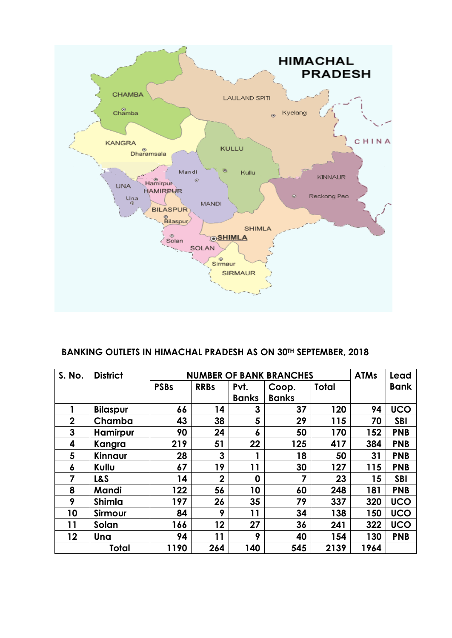

#### **BANKING OUTLETS IN HIMACHAL PRADESH AS ON 30TH SEPTEMBER, 2018**

| S. No.           | <b>District</b> | <b>NUMBER OF BANK BRANCHES</b> |                |              |              |              |                 | Lead        |
|------------------|-----------------|--------------------------------|----------------|--------------|--------------|--------------|-----------------|-------------|
|                  |                 | <b>PSBs</b>                    | <b>RRBs</b>    | Pvt.         | Coop.        | <b>Total</b> |                 | <b>Bank</b> |
|                  |                 |                                |                | <b>Banks</b> | <b>Banks</b> |              |                 |             |
|                  | <b>Bilaspur</b> | 66                             | 14             | 3            | 37           | 120          | 94              | <b>UCO</b>  |
| $\boldsymbol{2}$ | Chamba          | 43                             | 38             | 5            | 29           | 115          | 70              | <b>SBI</b>  |
| 3                | <b>Hamirpur</b> | 90                             | 24             | 6            | 50           | 170          | 152             | <b>PNB</b>  |
| 4                | Kangra          | 219                            | 51             | 22           | 125          | 417          | 384             | <b>PNB</b>  |
| 5                | Kinnaur         | 28                             | 3              |              | 18           | 50           | 31              | <b>PNB</b>  |
| 6                | Kullu           | 67                             | 19             | 11           | 30           | 127          | 115             | <b>PNB</b>  |
| 7                | <b>L&amp;S</b>  | 14                             | $\overline{2}$ | $\mathbf 0$  | 7            | 23           | $15\phantom{.}$ | <b>SBI</b>  |
| 8                | Mandi           | 122                            | 56             | 10           | 60           | 248          | 181             | <b>PNB</b>  |
| 9                | <b>Shimla</b>   | 197                            | 26             | 35           | 79           | 337          | 320             | <b>UCO</b>  |
| 10               | Sirmour         | 84                             | 9              | 11           | 34           | 138          | 150             | <b>UCO</b>  |
| 11               | Solan           | 166                            | 12             | 27           | 36           | 241          | 322             | <b>UCO</b>  |
| 12               | Una             | 94                             | 11             | 9            | 40           | 154          | 130             | <b>PNB</b>  |
|                  | <b>Total</b>    | 1190                           | 264            | 140          | 545          | 2139         | 1964            |             |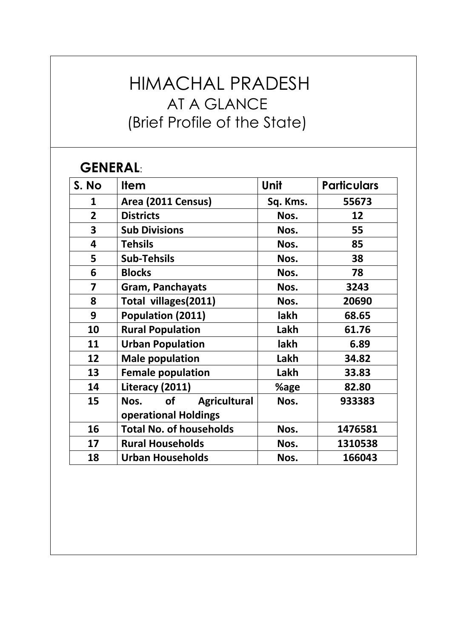# HIMACHAL PRADESH AT A GLANCE (Brief Profile of the State)

#### **GENERAL**:

| S. No          | <b>Item</b>                              | Unit     | <b>Particulars</b> |
|----------------|------------------------------------------|----------|--------------------|
| $\mathbf{1}$   | Area (2011 Census)                       | Sq. Kms. | 55673              |
| $\overline{2}$ | <b>Districts</b>                         | Nos.     | 12                 |
| 3              | <b>Sub Divisions</b>                     | Nos.     | 55                 |
| 4              | <b>Tehsils</b>                           | Nos.     | 85                 |
| 5              | <b>Sub-Tehsils</b>                       | Nos.     | 38                 |
| 6              | <b>Blocks</b>                            | Nos.     | 78                 |
| 7              | <b>Gram, Panchayats</b>                  | Nos.     | 3243               |
| 8              | Total villages(2011)                     | Nos.     | 20690              |
| 9              | Population (2011)                        | lakh     | 68.65              |
| 10             | <b>Rural Population</b>                  | Lakh     | 61.76              |
| 11             | <b>Urban Population</b>                  | lakh     | 6.89               |
| 12             | <b>Male population</b>                   | Lakh     | 34.82              |
| 13             | <b>Female population</b>                 | Lakh     | 33.83              |
| 14             | Literacy (2011)                          | %age     | 82.80              |
| 15             | <b>of</b><br><b>Agricultural</b><br>Nos. | Nos.     | 933383             |
|                | <b>operational Holdings</b>              |          |                    |
| 16             | <b>Total No. of households</b>           | Nos.     | 1476581            |
| 17             | <b>Rural Households</b>                  | Nos.     | 1310538            |
| 18             | <b>Urban Households</b>                  | Nos.     | 166043             |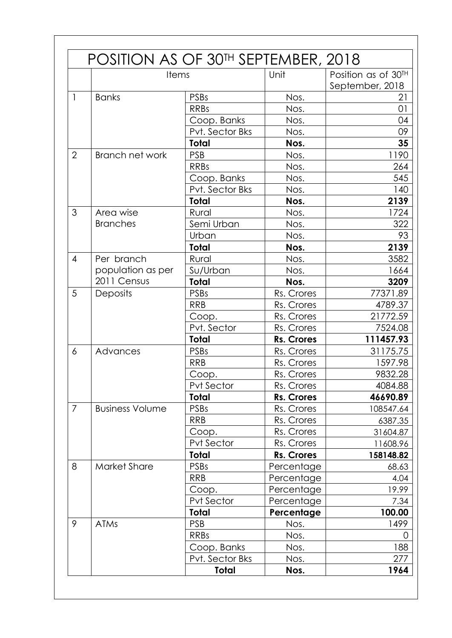|                | Items                  |                   | Unit              | Position as of 30TH |  |
|----------------|------------------------|-------------------|-------------------|---------------------|--|
|                |                        |                   |                   | September, 2018     |  |
| 1              | <b>Banks</b>           | <b>PSBs</b>       | Nos.              | 21                  |  |
|                |                        | <b>RRBs</b>       | Nos.              | 01                  |  |
|                |                        | Coop. Banks       | Nos.              | 04                  |  |
|                |                        | Pvt. Sector Bks   | Nos.              | 09                  |  |
|                |                        | Total             | Nos.              | 35                  |  |
| $\overline{2}$ | Branch net work        | <b>PSB</b>        | Nos.              | 1190                |  |
|                |                        | <b>RRBs</b>       | Nos.              | 264                 |  |
|                |                        | Coop. Banks       | Nos.              | 545                 |  |
|                |                        | Pvt. Sector Bks   | Nos.              | 140                 |  |
|                |                        | <b>Total</b>      | Nos.              | 2139                |  |
| 3              | Area wise              | Rural             | Nos.              | 1724                |  |
|                | <b>Branches</b>        | Semi Urban        | Nos.              | 322                 |  |
|                |                        | Urban             | Nos.              | 93                  |  |
|                |                        | <b>Total</b>      | Nos.              | 2139                |  |
| $\overline{4}$ | Per branch             | Rural             | Nos.              | 3582                |  |
|                | population as per      | Su/Urban          | Nos.              | 1664                |  |
|                | 2011 Census            | <b>Total</b>      | Nos.              | 3209                |  |
| 5              | Deposits               | <b>PSBs</b>       | Rs. Crores        | 77371.89            |  |
|                |                        | <b>RRB</b>        | Rs. Crores        | 4789.37             |  |
|                |                        | Coop.             | Rs. Crores        | 21772.59            |  |
|                |                        | Pvt. Sector       | Rs. Crores        | 7524.08             |  |
|                |                        | Total             | <b>Rs. Crores</b> | 111457.93           |  |
| 6              | Advances               | <b>PSBs</b>       | Rs. Crores        | 31175.75            |  |
|                |                        | <b>RRB</b>        | Rs. Crores        | 1597.98             |  |
|                |                        | Coop.             | Rs. Crores        | 9832.28             |  |
|                |                        | Pvt Sector        | Rs. Crores        | 4084.88             |  |
|                |                        | <b>Total</b>      | Rs. Crores        | 46690.89            |  |
| $\overline{7}$ | <b>Business Volume</b> | <b>PSBs</b>       | Rs. Crores        | 108547.64           |  |
|                |                        | <b>RRB</b>        | Rs. Crores        | 6387.35             |  |
|                |                        | Coop.             | Rs. Crores        | 31604.87            |  |
|                |                        | <b>Pvt Sector</b> | Rs. Crores        | 11608.96            |  |
|                |                        | Total             | Rs. Crores        | 158148.82           |  |
| 8              | <b>Market Share</b>    | <b>PSBs</b>       | Percentage        | 68.63               |  |
|                |                        | <b>RRB</b>        | Percentage        | 4.04                |  |
|                |                        | Coop.             | Percentage        | 19.99               |  |
|                |                        | Pvt Sector        | Percentage        | 7.34                |  |
|                |                        | Total             | Percentage        | 100.00              |  |
| 9              | <b>ATMs</b>            | <b>PSB</b>        | Nos.              | 1499                |  |
|                |                        | <b>RRBs</b>       | Nos.              | 0                   |  |
|                |                        | Coop. Banks       | Nos.              | 188                 |  |
|                |                        | Pvt. Sector Bks   | Nos.              | 277                 |  |
|                |                        | <b>Total</b>      | Nos.              | 1964                |  |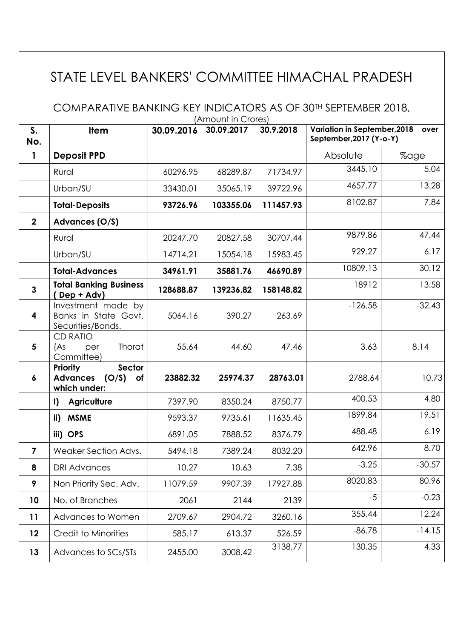## STATE LEVEL BANKERS' COMMITTEE HIMACHAL PRADESH

COMPARATIVE BANKING KEY INDICATORS AS OF 30TH SEPTEMBER 2018, (Amount in Crores)

| $S_{\cdot}$<br>No. | <b>Item</b>                                                                        | 30.09.2016 | 30.09.2017 | 30.9.2018 | Variation in September, 2018<br>September, 2017 (Y-o-Y) | over     |
|--------------------|------------------------------------------------------------------------------------|------------|------------|-----------|---------------------------------------------------------|----------|
| 1                  | <b>Deposit PPD</b>                                                                 |            |            |           | Absolute                                                | %age     |
|                    | Rural                                                                              | 60296.95   | 68289.87   | 71734.97  | 3445.10                                                 | 5.04     |
|                    | Urban/SU                                                                           | 33430.01   | 35065.19   | 39722.96  | 4657.77                                                 | 13.28    |
|                    | <b>Total-Deposits</b>                                                              | 93726.96   | 103355.06  | 111457.93 | 8102.87                                                 | 7.84     |
| $\overline{2}$     | Advances (O/S)                                                                     |            |            |           |                                                         |          |
|                    | Rural                                                                              | 20247.70   | 20827.58   | 30707.44  | 9879.86                                                 | 47.44    |
|                    | Urban/SU                                                                           | 14714.21   | 15054.18   | 15983.45  | 929.27                                                  | 6.17     |
|                    | <b>Total-Advances</b>                                                              | 34961.91   | 35881.76   | 46690.89  | 10809.13                                                | 30.12    |
| $\overline{3}$     | <b>Total Banking Business</b><br>(Dep + Adv)                                       | 128688.87  | 139236.82  | 158148.82 | 18912                                                   | 13.58    |
| 4                  | Investment made by<br>Banks in State Govt.<br>Securities/Bonds.                    | 5064.16    | 390.27     | 263.69    | $-126.58$                                               | $-32.43$ |
| 5                  | <b>CD RATIO</b><br>Thorat<br>(As<br>per<br>Committee)                              | 55.64      | 44.60      | 47.46     | 3.63                                                    | 8.14     |
| 6                  | <b>Sector</b><br><b>Priority</b><br><b>Advances</b><br>(O/S)<br>of<br>which under: | 23882.32   | 25974.37   | 28763.01  | 2788.64                                                 | 10.73    |
|                    | <b>Agriculture</b><br>$\mathbf{I}$                                                 | 7397.90    | 8350.24    | 8750.77   | 400.53                                                  | 4.80     |
|                    | <b>MSME</b><br>ii)                                                                 | 9593.37    | 9735.61    | 11635.45  | 1899.84                                                 | 19.51    |
|                    | iii) OPS                                                                           | 6891.05    | 7888.52    | 8376.79   | 488.48                                                  | 6.19     |
| $\overline{7}$     | Weaker Section Advs.                                                               | 5494.18    | 7389.24    | 8032.20   | 642.96                                                  | 8.70     |
| 8                  | <b>DRI Advances</b>                                                                | 10.27      | 10.63      | 7.38      | $-3.25$                                                 | $-30.57$ |
| 9                  | Non Priority Sec. Adv.                                                             | 11079.59   | 9907.39    | 17927.88  | 8020.83                                                 | 80.96    |
| 10                 | No. of Branches                                                                    | 2061       | 2144       | 2139      | $-5$                                                    | $-0.23$  |
| 11                 | Advances to Women                                                                  | 2709.67    | 2904.72    | 3260.16   | 355.44                                                  | 12.24    |
| 12                 | Credit to Minorities                                                               | 585.17     | 613.37     | 526.59    | $-86.78$                                                | $-14.15$ |
| 13                 | Advances to SCs/STs                                                                | 2455.00    | 3008.42    | 3138.77   | 130.35                                                  | 4.33     |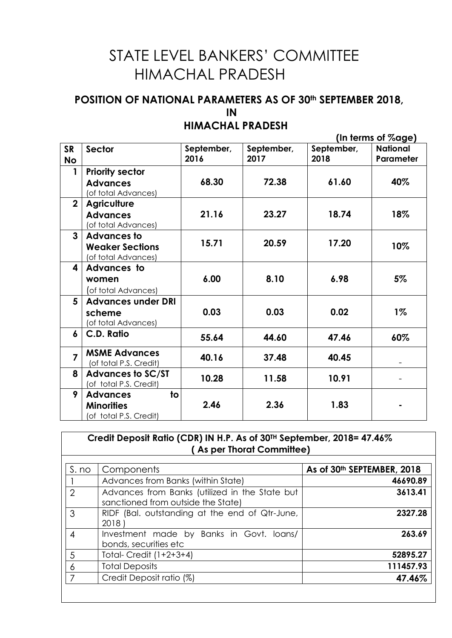# STATE LEVEL BANKERS' COMMITTEE HIMACHAL PRADESH

#### **POSITION OF NATIONAL PARAMETERS AS OF 30th SEPTEMBER 2018, IN**

### **HIMACHAL PRADESH**

 **(In terms of %age)**

| <b>SR</b><br>No | Sector                                                                                    | September,<br>2016 | September,<br>2017 | September,<br>2018 | <b>National</b><br>Parameter |
|-----------------|-------------------------------------------------------------------------------------------|--------------------|--------------------|--------------------|------------------------------|
| 1               | <b>Priority sector</b><br><b>Advances</b><br>(of total Advances)                          | 68.30              | 72.38              | 61.60              | 40%                          |
| $\mathbf{2}$    | <b>Agriculture</b><br><b>Advances</b><br>(of total Advances)                              | 21.16              | 23.27              | 18.74              | 18%                          |
| $\overline{3}$  | <b>Advances to</b><br><b>Weaker Sections</b><br>(of total Advances)                       | 15.71              | 20.59              | 17.20              | 10%                          |
| 4               | Advances to<br>women<br>(of total Advances)                                               | 6.00               | 8.10               | 6.98               | 5%                           |
| 5               | <b>Advances under DRI</b><br>scheme<br>(of total Advances)                                | 0.03               | 0.03               | 0.02               | $1\%$                        |
| 6               | C.D. Ratio                                                                                | 55.64              | 44.60              | 47.46              | 60%                          |
| $\overline{7}$  | <b>MSME Advances</b><br>(of total P.S. Credit)                                            | 40.16              | 37.48              | 40.45              |                              |
| 8               | <b>Advances to SC/ST</b><br>(of total P.S. Credit)                                        | 10.28              | 11.58              | 10.91              |                              |
| 9               | $\overline{\mathsf{t}}$<br><b>Advances</b><br><b>Minorities</b><br>(of total P.S. Credit) | 2.46               | 2.36               | 1.83               |                              |

| S. no          | Components                                                                           | As of 30th SEPTEMBER, 2018 |
|----------------|--------------------------------------------------------------------------------------|----------------------------|
|                | Advances from Banks (within State)                                                   | 46690.89                   |
| $\mathcal{P}$  | Advances from Banks (utilized in the State but<br>sanctioned from outside the State) | 3613.41                    |
| 3              | RIDF (Bal. outstanding at the end of Qtr-June,<br>2018                               | 2327.28                    |
| $\overline{4}$ | Investment made by Banks in Govt. loans/<br>bonds, securities etc                    | 263.69                     |
| 5              | Total-Credit $(1+2+3+4)$                                                             | 52895.27                   |
| 6              | <b>Total Deposits</b>                                                                | 111457.93                  |
|                | Credit Deposit ratio (%)                                                             | 47.46%                     |